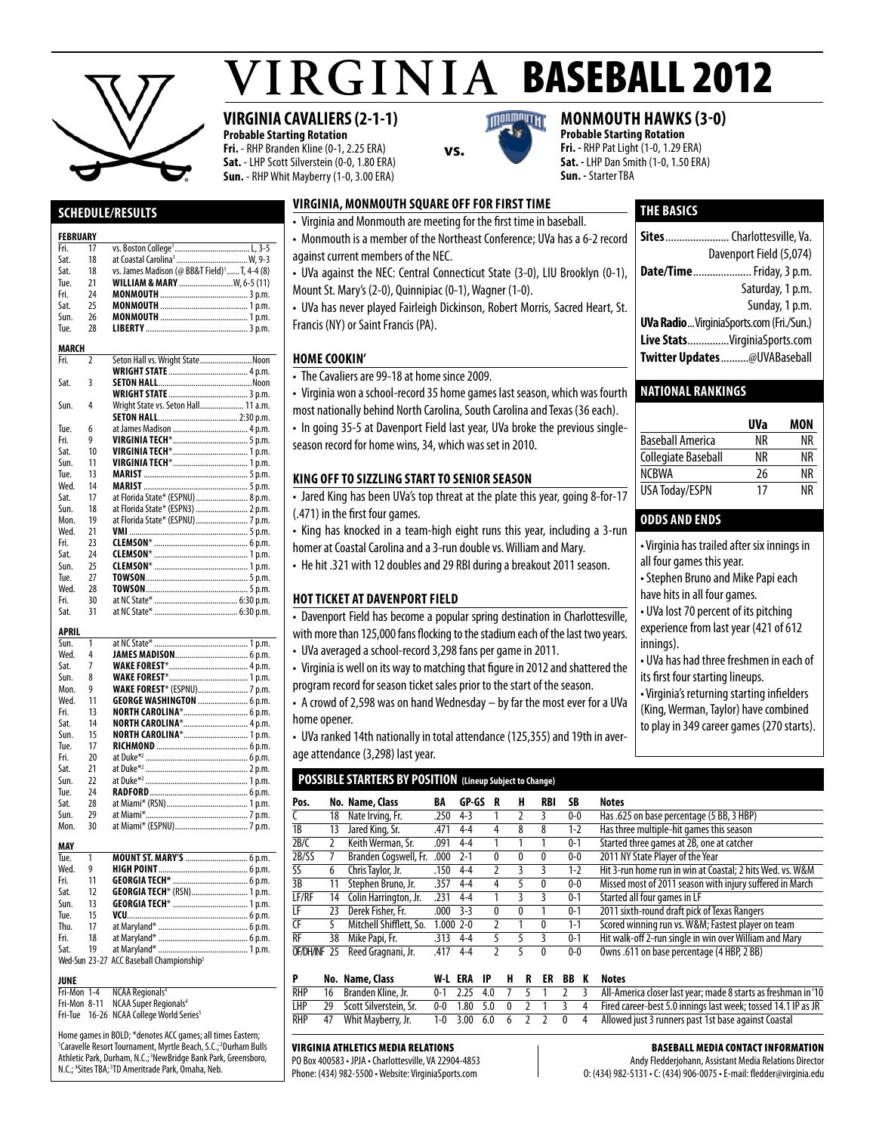

**Schedule/Results** 

Fri. 17 vs. Boston College<sup>1</sup><br>Sat 18 at Coastal Carolina

Sat. 18 at Coastal Carolina<sup>1</sup><br>Sat. 18 vs. James Madison

**FEBRUARY**<br>Fri. 17

# $VIRGINIA$  BASEBALL 2012

# **VIRGINIA CAVALIERS (2-1-1)**

 $1, 3-5$ <br>W 9-3

**Probable Starting Rotation Fri.** - RHP Branden Kline (0-1, 2.25 ERA) **Sat.** - LHP Scott Silverstein (0-0, 1.80 ERA) **Sun.** - RHP Whit Mayberry (1-0, 3.00 ERA)



**Virginia, monmouth Square off for firsttime** • Virginia and Monmouth are meeting for the first time in baseball.

**vs.**

season record for home wins, 34, which was set in 2010.

**KING OFF TO SIZZLING START TO SENIOR SEASON** 

• The Cavaliers are 99-18 at home since 2009.

(.471) in the first four games.

**HOT TICKET AT DAVENPORT FIELD** 

# **monmouth hawks (3-0)**

**Probable Starting Rotation Fri. -** RHP Pat Light (1-0, 1.29 ERA) **Sat. -** LHP Dan Smith (1-0, 1.50 ERA) **Sun. -** Starter TBA

# **THE basics**

| $\sim$ virginia and monimouth are incetting for the mot time in baseban.     |                                                  |
|------------------------------------------------------------------------------|--------------------------------------------------|
| • Monmouth is a member of the Northeast Conference; UVa has a 6-2 record     | <b>Sites</b> Charlottesville. Va.                |
| against current members of the NEC.                                          | Davenport Field (5,074)                          |
| • UVa against the NEC: Central Connecticut State (3-0), LIU Brooklyn (0-1),  | <b>Date/Time</b> Friday, 3 p.m.                  |
| Mount St. Mary's (2-0), Quinnipiac (0-1), Wagner (1-0).                      | Saturday, 1 p.m.                                 |
| • UVa has never played Fairleigh Dickinson, Robert Morris, Sacred Heart, St. | Sunday, 1 p.m.                                   |
| Francis (NY) or Saint Francis (PA).                                          | <b>UVa Radio</b> Virginia Sports.com (Fri./Sun.) |
|                                                                              | Live StatsVirginiaSports.com                     |
| <b>HOME COOKIN'</b>                                                          | Twitter Updates@UVABaseball                      |
| The Caustings are 00, 10 at home since 2000                                  |                                                  |

### **National Rankings**

|                         | UVa | MON |
|-------------------------|-----|-----|
| <b>Baseball America</b> | ΝR  | ΝR  |
| Collegiate Baseball     | ΝR  | ΝR  |
| <b>NCBWA</b>            | 26  | ΝR  |
| <b>USA Today/ESPN</b>   | 17  | ΝR  |

## **odds and ends**

• Virginia has trailed after six innings in

all four games this year.

• Stephen Bruno and Mike Papi each

have hits in all four games.

• UVa lost 70 percent of its pitching experience from last year (421 of 612 innings).

• UVa has had three freshmen in each of

its first four starting lineups.

• Virginia's returning starting infielders (King, Werman, Taylor) have combined

to play in 349 career games (270 starts).

| Sat.         | 18             | vs. James Madison (@ BB&T Field) <sup>1</sup> T, 4-4 (8)        |
|--------------|----------------|-----------------------------------------------------------------|
| Tue.         | 21             | WILLIAM & MARY  W, 6-5 (11)                                     |
| Fri.         | 24             |                                                                 |
| Sat.         | 25             |                                                                 |
| Sun.         | 26             |                                                                 |
| Tue.         | 28             |                                                                 |
|              |                |                                                                 |
| <b>MARCH</b> |                |                                                                 |
| Fri.         | $\overline{2}$ | Seton Hall vs. Wright StateNoon                                 |
|              |                |                                                                 |
| Sat.         | 3              |                                                                 |
|              |                |                                                                 |
| Sun.         | 4              | Wright State vs. Seton Hall 11 a.m.                             |
|              |                |                                                                 |
| Tue.         | 6              |                                                                 |
| Fri.         | 9              |                                                                 |
| Sat.         | 10             |                                                                 |
| Sun.         | 11             |                                                                 |
| Tue.         | 13             |                                                                 |
| Wed.         | 14             |                                                                 |
| Sat.         | 17             | at Florida State* (ESPNU)  8 p.m.                               |
| Sun.         | 18             | at Florida State* (ESPN3)  2 p.m.                               |
| Mon.         | 19             | at Florida State* (ESPNU)  7 p.m.                               |
| Wed.         | 21             |                                                                 |
| Fri.         | 23             |                                                                 |
| Sat.         | 24             |                                                                 |
| Sun.         | 25             |                                                                 |
| Tue.         | 27             |                                                                 |
| Wed.         | 28             |                                                                 |
| Fri.         | 30             |                                                                 |
| Sat.         | 31             |                                                                 |
|              |                |                                                                 |
| <b>APRIL</b> |                |                                                                 |
| Sun.         | 1              |                                                                 |
| Wed.         | 4              |                                                                 |
| Sat.         | 7              |                                                                 |
| Sun.         | 8              |                                                                 |
| Mon.         | 9              |                                                                 |
| Wed.         | 11             | WAKE FOREST* (ESPNU) 7 p.m.<br><b>GEORGE WASHINGTON </b> 6 p.m. |
| Fri.         | 13             | <b>NORTH CAROLINA*</b> 6 p.m.                                   |
| Sat.         | 14             | NORTH CAROLINA* 4 p.m.                                          |
| Sun.         | 15             |                                                                 |
| Tue.         | 17             |                                                                 |
| Fri.         | 20             |                                                                 |
| Sat.         | 21             |                                                                 |
| Sun.         | 22             |                                                                 |
| Tue.         | 24             |                                                                 |
| Sat.         | 28             |                                                                 |
| Sun.         | 29             |                                                                 |
| Mon.         | 30             |                                                                 |
|              |                |                                                                 |
| MAY          |                |                                                                 |
| Tue.         | 1              | MOUNT ST. MARY'S  6 p.m.                                        |
| Wed.         | 9              |                                                                 |
| Fri.         | 11             |                                                                 |
| Sat.<br>Sun. | 12<br>13       | GEORGIA TECH* (RSN) 1 p.m.                                      |
| Tue.         | 15             |                                                                 |
| Thu.         | 17             |                                                                 |
| Fri.         | 18             |                                                                 |
| Sat.         | 19             |                                                                 |
|              |                | Wed-Sun 23-27 ACC Baseball Championship <sup>3</sup>            |

# **JUNE**<br>Fri-Mon 1-4

**NCAA Regionals<sup>4</sup>** Fri-Mon 8-11 NCAA Super Regionals<sup>4</sup>

Fri-Tue 16-26 NCAA College World Series<sup>5</sup>

Home games in BOLD; \*denotes ACC games; all times Eastern; <sup>1</sup>Caravelle Resort Tournament, Myrtle Beach, S.C.;<sup>2</sup>Durham Bulls Athletic Park, Durham, N.C.;<sup>3</sup>NewBridge Bank Park, Greensboro, N.C.; <sup>4</sup>Sites TBA; <sup>5</sup>TD Ameritrade Park, Omaha, Neb.

#### Virginia Athletics Media Relations

PO Box 400583 • JPJA • Charlottesville, VA 22904-4853 Phone: (434) 982-5500 • Website: VirginiaSports.com

#### Baseball Media Contact Information

Andy Fledderjohann, Assistant Media Relations Director O: (434) 982-5131 • C: (434) 906-0075 • E-mail: fledder@virginia.edu

• Davenport Field has become a popular spring destination in Charlottesville, with more than 125,000 fans flocking to the stadium each of the last two years. • UVa averaged a school-record 3,298 fans per game in 2011.

• Virginia is well on its way to matching that figure in 2012 and shattered the program record for season ticket sales prior to the start of the season.

• Virginia won a school-record 35 home games last season, which was fourth most nationally behind North Carolina, South Carolina and Texas (36 each). • In going 35-5 at Davenport Field last year, UVa broke the previous single-

• Jared King has been UVa's top threat at the plate this year, going 8-for-17

• King has knocked in a team-high eight runs this year, including a 3-run homer at Coastal Carolina and a 3-run double vs. William and Mary. • He hit .321 with 12 doubles and 29 RBI during a breakout 2011 season.

• A crowd of 2,598 was on hand Wednesday – by far the most ever for a UVa home opener.

• UVa ranked 14th nationally in total attendance (125,355) and 19th in average attendance (3,298) last year.

**P No. Name, Class W-L ERA IP H R ER BB K Notes**

**POSSIBLE STARTERS BY POSITION (Lineup Subject to Change)**

| Pos.         |    | No. Name, Class         | BA            | GP-GS   | R | н            | RBI | SB      | <b>Notes</b>                                              |
|--------------|----|-------------------------|---------------|---------|---|--------------|-----|---------|-----------------------------------------------------------|
|              | 18 | Nate Irving, Fr.        | .250          | $4 - 3$ |   |              |     | 0-0     | Has .625 on base percentage (5 BB, 3 HBP)                 |
| 1B           | 13 | Jared King, Sr.         | .471          | $4 - 4$ | 4 | 8            | 8   | $1 - 2$ | Has three multiple-hit games this season                  |
| 2B/C         |    | Keith Werman, Sr.       | .091          | $4 - 4$ |   |              |     | $0 - 1$ | Started three games at 2B, one at catcher                 |
| 2B/SS        |    | Branden Cogswell, Fr.   | .000          | $2 - 1$ | 0 | $\Omega$     | 0   | 0-0     | 2011 NY State Player of the Year                          |
| SS           | 6  | Chris Taylor, Jr.       | .150          | $4 - 4$ |   |              |     | $1 - 2$ | Hit 3-run home run in win at Coastal; 2 hits Wed. vs. W&M |
| 3B           | 11 | Stephen Bruno, Jr.      | .357          | $4 - 4$ | 4 |              | 0   | 0-0     | Missed most of 2011 season with injury suffered in March  |
| LF/RF        | 14 | Colin Harrington, Jr.   | .231          | $4 - 4$ |   |              |     | $0 - 1$ | Started all four games in LF                              |
| LF           | 23 | Derek Fisher, Fr.       | .000          | $3-3$   | 0 | $\mathbf{0}$ |     | $0 - 1$ | 2011 sixth-round draft pick of Texas Rangers              |
| <b>CF</b>    |    | Mitchell Shifflett, So. | $1.000$ $2-0$ |         |   |              | 0   | $1 - 1$ | Scored winning run vs. W&M Fastest player on team         |
| <b>RF</b>    | 38 | Mike Papi, Fr.          | .313          | $4 - 4$ |   |              |     | $0 - 1$ | Hit walk-off 2-run single in win over William and Mary    |
| OF/DH/INF 25 |    | Reed Gragnani, Jr.      | .417          | $4 - 4$ |   |              |     | $0-0$   | Owns .611 on base percentage (4 HBP, 2 BB)                |

RHP 16 Branden Kline, Jr. 0-1 2.25 4.0 7 5 1 2 3 All-America closer last year; made 8 starts as freshman in '10<br>THP 29 Scott Silverstein Sr. 0-0 1.80 5.0 0 2 1 3 4 Fired career-best 5.0 innings last week: tossed 14.1 IP a 29 Scott Silverstein, Sr. 0-0 1.80 5.0 0 2 1 3 4 Fired career-best 5.0 innings last week; tossed 14.1 IP as JR<br>47 Whit Mayberry, Jr. 1-0 3.00 6.0 6 2 2 0 4 Allowed just 3 runners past 1st base against Coastal

RHP 47 Whit Mayberry, Jr. 1-0 3.00 6.0 6 2 2 0 4 Allowed just 3 runners past 1st base against Coastal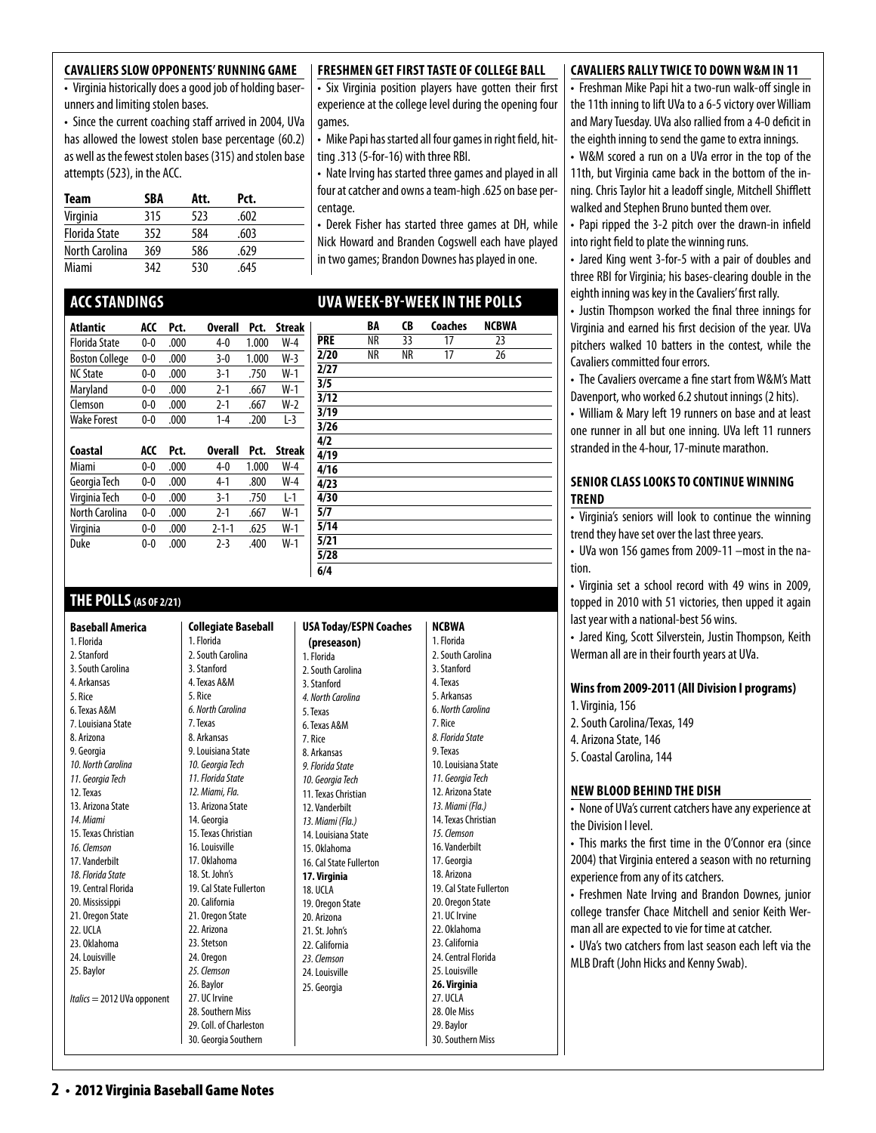#### **Cavaliers Slow Opponents' Running Game**

• Virginia historically does a good job of holding baserunners and limiting stolen bases.

• Since the current coaching staff arrived in 2004, UVa has allowed the lowest stolen base percentage (60.2) as well as the fewest stolen bases (315) and stolen base attempts (523), in the ACC.

| Team                 | SBA | Att. | Pct. |  |
|----------------------|-----|------|------|--|
| Virginia             | 315 | 523  | .602 |  |
| <b>Florida State</b> | 352 | 584  | .603 |  |
| North Carolina       | 369 | 586  | .629 |  |
| Miami                | 342 | 530  | .645 |  |

# **ACCStandings**

| Atlantic              | ACC     | Pct. | <b>Overall</b> | Pct.       | <b>Streak</b> |
|-----------------------|---------|------|----------------|------------|---------------|
| <b>Florida State</b>  | $0-0$   | .000 | $4 - 0$        | 1.000      | $W-4$         |
| <b>Boston College</b> | $0 - 0$ | .000 | 3-0            | 1.000      | $W-3$         |
| <b>NC State</b>       | $0-0$   | .000 | $3-1$          | .750       | $W-1$         |
| Maryland              | $0-0$   | .000 | $2 - 1$        | .667       | $W-1$         |
| Clemson               | $0-0$   | .000 | $2-1$          | .667       | $W-2$         |
| <b>Wake Forest</b>    | $0-0$   | .000 | $1 - 4$        | .200       | $L-3$         |
| Coactal               | nrr     | Drt  | Nyarall        | <b>Prt</b> | Straak        |

| Coastal        | ACC     | Prt. | <b>Overall</b> | Pct.  | <b>Streak</b> |
|----------------|---------|------|----------------|-------|---------------|
| Miami          | 0-0     | .000 | 4-0            | 1.000 | W-4           |
| Georgia Tech   | $0 - 0$ | .000 | $4-1$          | .800  | W-4           |
| Virginia Tech  | $0 - 0$ | .000 | $3-1$          | .750  | $1-1$         |
| North Carolina | $0 - 0$ | .000 | $2 - 1$        | .667  | $W-1$         |
| Virginia       | 0-0     | .000 | $2 - 1 - 1$    | .625  | $W-1$         |
| Duke           | 0-0     | .000 | $7-3$          | .400  | $W-1$         |

# **THE POLLS(AS OF 2/21)**

1. Florida 2. Stanford

4. Arkansas 5. Rice 6. Texas A&M

8. Arizona 9. Georgia

12. Texas

*14. Miami*

*16. Clemson* 17. Vanderbilt

20. Mississippi

22. UCLA 23. Oklahoma 24. Louisville 25. Baylor

**Baseball America**  3. South Carolina 7. Louisiana State *10. North Carolina 11. Georgia Tech* 13. Arizona State 15. Texas Christian *18. Florida State*  19. Central Florida 21. Oregon State *Italics* = 2012 UVa opponent **Collegiate Baseball**  1. Florida 2. South Carolina 3. Stanford 4. Texas A&M 5. Rice *6. North Carolina* 7. Texas 8. Arkansas 9. Louisiana State *10. Georgia Tech 11. Florida State 12. Miami, Fla.*  13. Arizona State 14. Georgia 15. Texas Christian 16. Louisville 17. Oklahoma 18. St. John's 20. California 21. Oregon State 22. Arizona 23. Stetson 24. Oregon *25. Clemson* 26. Baylor 27. UC Irvine 28. Southern Miss 30. Georgia Southern

#### **FRESHMEN GET FIRST TASTE OF COLLEGE BALL**

• Six Virginia position players have gotten their first experience at the college level during the opening four games.

• Mike Papi has started all four games in right field, hitting .313 (5-for-16) with three RBI.

• Nate Irving has started three games and played in all four at catcher and owns a team-high .625 on base percentage.

• Derek Fisher has started three games at DH, while Nick Howard and Branden Cogswell each have played in two games; Brandon Downes has played in one.

# **uva week-by-week in the polls**

| <b>CB</b><br>BA<br><b>Coaches</b> | <b>NCBWA</b> |
|-----------------------------------|--------------|
| PRE<br>17<br>NR<br>33             | 23           |
| 2/20<br>NR<br>NR<br>17            | 26           |
| $\overline{2/27}$                 |              |
| 3/5                               |              |
| 3/12                              |              |
| $\overline{3/19}$                 |              |
| 3/26                              |              |
| 4/2                               |              |
| 4/19                              |              |
| 4/16                              |              |
| 4/23                              |              |
| 4/30                              |              |
| 5/7                               |              |
| 5/14                              |              |
| 5/21                              |              |
| 5/28                              |              |
| 6/4                               |              |

#### 19. Cal State Fullerton 29. Coll. of Charleston **USA Today/ESPN Coaches (preseason)**  1. Florida 2. South Carolina 3. Stanford *4. North Carolina*  5. Texas 6. Texas A&M 7. Rice 8. Arkansas *9. Florida State 10. Georgia Tech*  11. Texas Christian 12. Vanderbilt *13. Miami (Fla.)*  14. Louisiana State 15. Oklahoma 16. Cal State Fullerton **17. Virginia** 18. UCLA 19. Oregon State 20. Arizona 21. St. John's 22. California *23. Clemson* 24. Louisville 25. Georgia **NCBWA** 1. Florida 2. South Carolina 3. Stanford 4. Texas 5. Arkansas 6. *North Carolina*  7. Rice *8. Florida State*  9. Texas 10. Louisiana State *11. Georgia Tech*  12. Arizona State *13. Miami (Fla.)*  14. Texas Christian *15. Clemson* 16. Vanderbilt 17. Georgia 18. Arizona 19. Cal State Fullerton 20. Oregon State 21. UC Irvine 22. Oklahoma 23. California 24. Central Florida 25. Louisville **26. Virginia** 27. UCLA 28. Ole Miss 29. Baylor 30. Southern Miss

#### **cavaliers rally twiceto down W&M in 11**

• Freshman Mike Papi hit a two-run walk-off single in the 11th inning to lift UVa to a 6-5 victory over William and Mary Tuesday. UVa also rallied from a 4-0 deficit in the eighth inning to send the game to extra innings.

• W&M scored a run on a UVa error in the top of the 11th, but Virginia came back in the bottom of the inning. Chris Taylor hit a leadoff single, Mitchell Shifflett walked and Stephen Bruno bunted them over.

• Papi ripped the 3-2 pitch over the drawn-in infield into right field to plate the winning runs.

• Jared King went 3-for-5 with a pair of doubles and three RBI for Virginia; his bases-clearing double in the eighth inning was key in the Cavaliers' first rally.

• Justin Thompson worked the final three innings for Virginia and earned his first decision of the year. UVa pitchers walked 10 batters in the contest, while the Cavaliers committed four errors.

• The Cavaliers overcame a fine start from W&M's Matt Davenport, who worked 6.2 shutout innings (2 hits).

• William & Mary left 19 runners on base and at least one runner in all but one inning. UVa left 11 runners stranded in the 4-hour, 17-minute marathon.

#### **senior class looks to continuewinning trend**

• Virginia's seniors will look to continue the winning trend they have set over the last three years.

• UVa won 156 games from 2009-11 –most in the nation.

• Virginia set a school record with 49 wins in 2009, topped in 2010 with 51 victories, then upped it again last year with a national-best 56 wins.

• Jared King, Scott Silverstein, Justin Thompson, Keith Werman all are in their fourth years at UVa.

#### **Wins from 2009-2011 (All Division I programs)**

1. Virginia, 156

2. South Carolina/Texas, 149

4. Arizona State, 146

5. Coastal Carolina, 144

#### **new blood behind the dish**

• None of UVa's current catchers have any experience at the Division I level.

• This marks the first time in the O'Connor era (since 2004) that Virginia entered a season with no returning experience from any of its catchers.

• Freshmen Nate Irving and Brandon Downes, junior college transfer Chace Mitchell and senior Keith Werman all are expected to vie for time at catcher.

• UVa's two catchers from last season each left via the MLB Draft (John Hicks and Kenny Swab).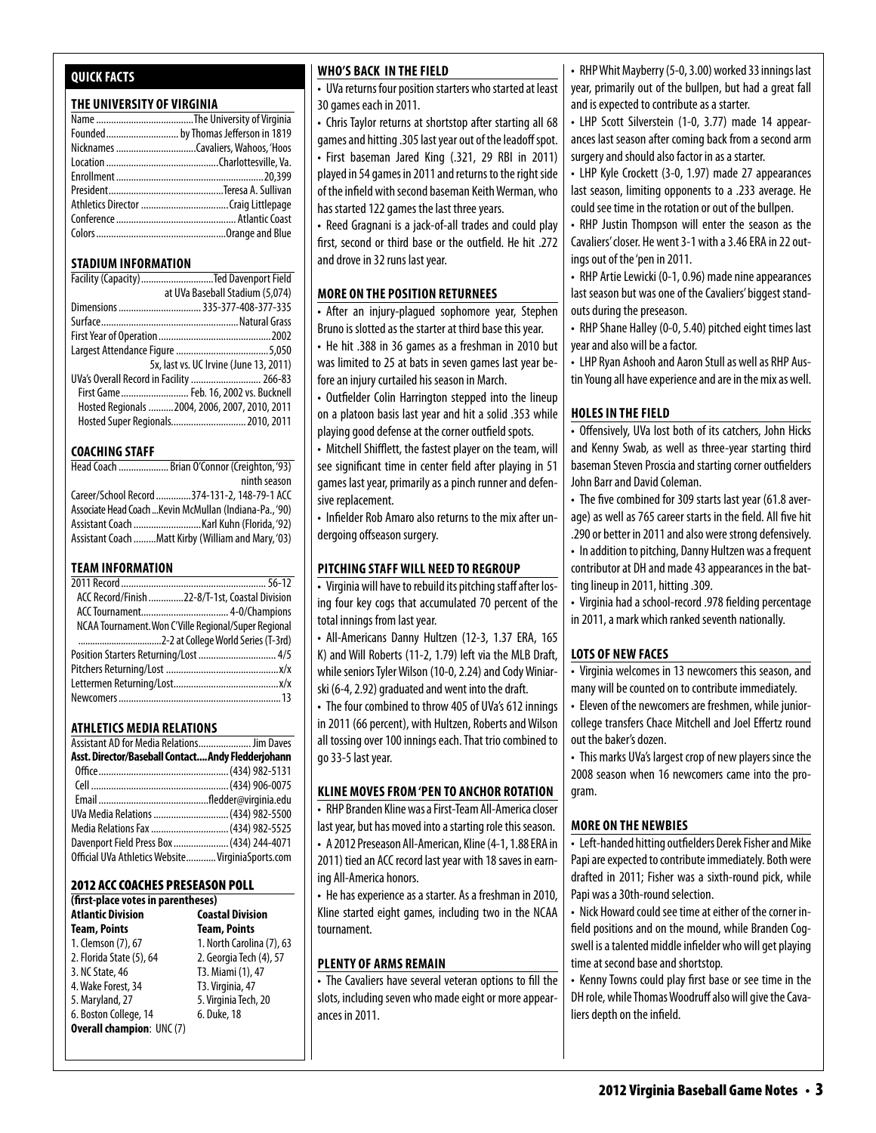# **Quick Facts**

#### **THE UNIVERSITY OF VIRGINIA**

#### **STADIUM INFORMATION**

| Facility (Capacity) Ted Davenport Field       |
|-----------------------------------------------|
| at UVa Baseball Stadium (5,074)               |
| Dimensions  335-377-408-377-335               |
|                                               |
|                                               |
|                                               |
| 5x, last vs. UC Irvine (June 13, 2011)        |
| UVa's Overall Record in Facility  266-83      |
| First Game Feb. 16, 2002 vs. Bucknell         |
| Hosted Regionals 2004, 2006, 2007, 2010, 2011 |
| Hosted Super Regionals 2010, 2011             |

#### **COACHING STAFF**

| Head Coach  Brian O'Connor (Creighton, '93)             |
|---------------------------------------------------------|
| ninth season                                            |
| Career/School Record 374-131-2, 148-79-1 ACC            |
| Associate Head Coach  Kevin McMullan (Indiana-Pa., '90) |
|                                                         |
| Assistant Coach Matt Kirby (William and Mary, '03)      |

#### **TEAM INFORMATION**

| ACC Record/Finish 22-8/T-1st. Coastal Division       |  |
|------------------------------------------------------|--|
|                                                      |  |
| NCAA Tournament. Won C'Ville Regional/Super Regional |  |
|                                                      |  |
|                                                      |  |
|                                                      |  |
|                                                      |  |
|                                                      |  |
|                                                      |  |

#### **Athletics MEDIA RELATIONS**

| Assistant AD for Media Relations Jim Daves        |  |
|---------------------------------------------------|--|
| Asst. Director/Baseball ContactAndy Fledderjohann |  |
|                                                   |  |
|                                                   |  |
|                                                   |  |
| UVa Media Relations  (434) 982-5500               |  |
| Media Relations Fax  (434) 982-5525               |  |
| Davenport Field Press Box  (434) 244-4071         |  |
| Official UVa Athletics Website VirginiaSports.com |  |

#### 2012 ACC Coaches Preseason Poll

| (first-place votes in parentheses) |                           |  |  |  |  |  |  |  |  |  |
|------------------------------------|---------------------------|--|--|--|--|--|--|--|--|--|
| <b>Atlantic Division</b>           | <b>Coastal Division</b>   |  |  |  |  |  |  |  |  |  |
| <b>Team, Points</b>                | <b>Team, Points</b>       |  |  |  |  |  |  |  |  |  |
| 1. Clemson (7), 67                 | 1. North Carolina (7), 63 |  |  |  |  |  |  |  |  |  |
| 2. Florida State (5), 64           | 2. Georgia Tech (4), 57   |  |  |  |  |  |  |  |  |  |
| 3. NC State, 46                    | T3. Miami (1), 47         |  |  |  |  |  |  |  |  |  |
| 4. Wake Forest, 34                 | T3. Virginia, 47          |  |  |  |  |  |  |  |  |  |
| 5. Maryland, 27                    | 5. Virginia Tech, 20      |  |  |  |  |  |  |  |  |  |
| 6. Boston College, 14              | 6. Duke, 18               |  |  |  |  |  |  |  |  |  |
| <b>Overall champion: UNC (7)</b>   |                           |  |  |  |  |  |  |  |  |  |

#### **who's back in the field**

• UVa returns four position starters who started at least 30 games each in 2011.

• Chris Taylor returns at shortstop after starting all 68 games and hitting .305 last year out of the leadoff spot.

• First baseman Jared King (.321, 29 RBI in 2011) played in 54 games in 2011 and returns to the right side of the infield with second baseman Keith Werman, who has started 122 games the last three years.

• Reed Gragnani is a jack-of-all trades and could play first, second or third base or the outfield. He hit .272

and drove in 32 runs last year.

#### **More on the Position Returnees**

• After an injury-plagued sophomore year, Stephen Bruno is slotted as the starter at third base this year.

• He hit .388 in 36 games as a freshman in 2010 but was limited to 25 at bats in seven games last year before an injury curtailed his season in March.

• Outfielder Colin Harrington stepped into the lineup on a platoon basis last year and hit a solid .353 while playing good defense at the corner outfield spots.

• Mitchell Shifflett, the fastest player on the team, will see significant time in center field after playing in 51 games last year, primarily as a pinch runner and defensive replacement.

• Infielder Rob Amaro also returns to the mix after undergoing offseason surgery.

#### **pitching staff will need to regroup**

• Virginia will have to rebuild its pitching staff after losing four key cogs that accumulated 70 percent of the total innings from last year.

• All-Americans Danny Hultzen (12-3, 1.37 ERA, 165 K) and Will Roberts (11-2, 1.79) left via the MLB Draft, while seniors Tyler Wilson (10-0, 2.24) and Cody Winiarski (6-4, 2.92) graduated and went into the draft.

• The four combined to throw 405 of UVa's 612 innings in 2011 (66 percent), with Hultzen, Roberts and Wilson all tossing over 100 innings each. That trio combined to go 33-5 last year.

#### **Kline Moves from 'Pen to Anchor Rotation**

• RHP Branden Kline was a First-Team All-America closer last year, but has moved into a starting role this season. • A 2012 Preseason All-American, Kline (4-1, 1.88 ERA in 2011) tied an ACC record last year with 18 saves in earning All-America honors.

• He has experience as a starter. As a freshman in 2010, Kline started eight games, including two in the NCAA tournament.

#### **plenty of arms remain**

• The Cavaliers have several veteran options to fill the slots, including seven who made eight or more appearances in 2011.

• RHP Whit Mayberry (5-0, 3.00) worked 33 innings last year, primarily out of the bullpen, but had a great fall and is expected to contribute as a starter.

• LHP Scott Silverstein (1-0, 3.77) made 14 appearances last season after coming back from a second arm surgery and should also factor in as a starter.

• LHP Kyle Crockett (3-0, 1.97) made 27 appearances last season, limiting opponents to a .233 average. He could see time in the rotation or out of the bullpen.

• RHP Justin Thompson will enter the season as the Cavaliers' closer. He went 3-1 with a 3.46 ERA in 22 outings out of the 'pen in 2011.

• RHP Artie Lewicki (0-1, 0.96) made nine appearances last season but was one of the Cavaliers' biggest standouts during the preseason.

• RHP Shane Halley (0-0, 5.40) pitched eight times last year and also will be a factor.

• LHP Ryan Ashooh and Aaron Stull as well as RHP Austin Young all have experience and are in the mix as well.

#### **holes in the field**

• Offensively, UVa lost both of its catchers, John Hicks and Kenny Swab, as well as three-year starting third baseman Steven Proscia and starting corner outfielders John Barr and David Coleman.

• The five combined for 309 starts last year (61.8 average) as well as 765 career starts in the field. All five hit .290 or better in 2011 and also were strong defensively.

• In addition to pitching, Danny Hultzen was a frequent contributor at DH and made 43 appearances in the batting lineup in 2011, hitting .309.

• Virginia had a school-record .978 fielding percentage in 2011, a mark which ranked seventh nationally.

#### **lots of new faces**

• Virginia welcomes in 13 newcomers this season, and many will be counted on to contribute immediately.

• Eleven of the newcomers are freshmen, while juniorcollege transfers Chace Mitchell and Joel Effertz round out the baker's dozen.

• This marks UVa's largest crop of new players since the 2008 season when 16 newcomers came into the program.

#### **more on the newbies**

• Left-handed hitting outfielders Derek Fisher and Mike Papi are expected to contribute immediately. Both were drafted in 2011; Fisher was a sixth-round pick, while Papi was a 30th-round selection.

• Nick Howard could see time at either of the corner infield positions and on the mound, while Branden Cogswell is a talented middle infielder who will get playing time at second base and shortstop.

• Kenny Towns could play first base or see time in the DH role, while Thomas Woodruff also will give the Cavaliers depth on the infield.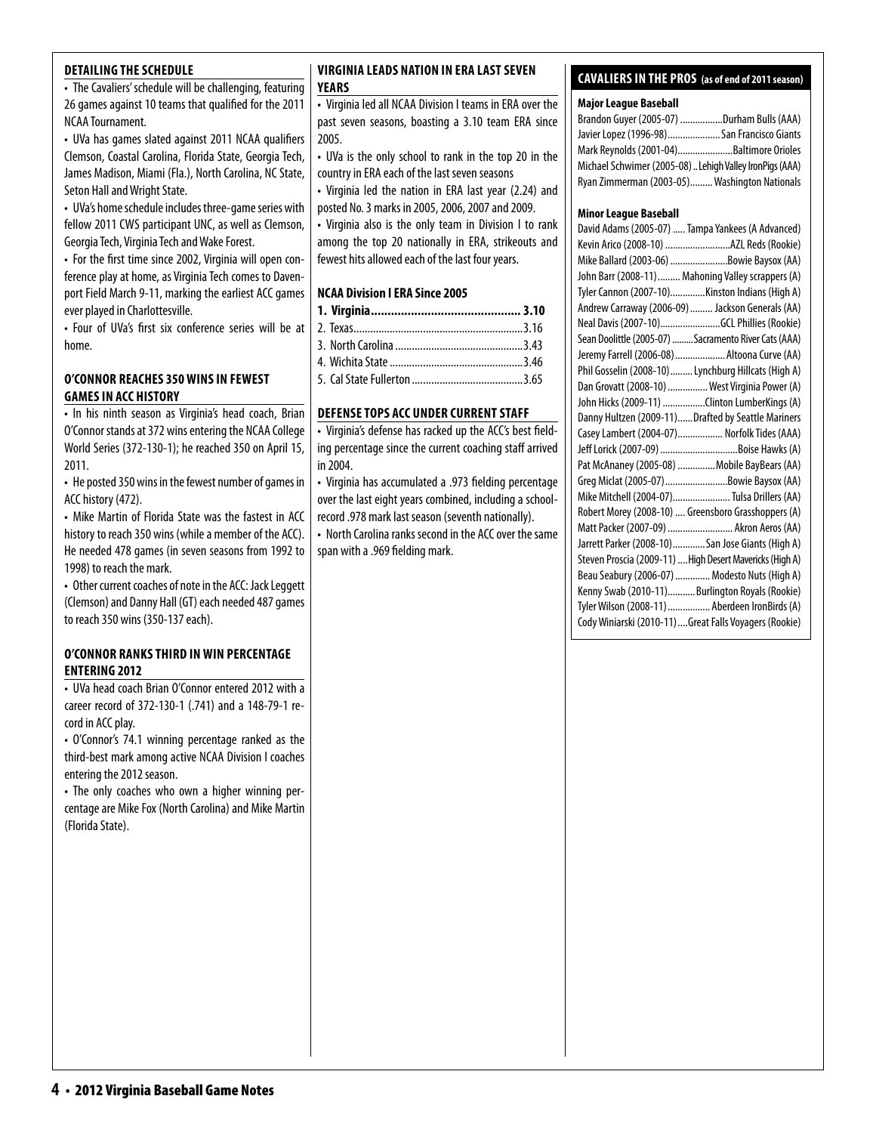#### **detailing the schedule**

• The Cavaliers' schedule will be challenging, featuring 26 games against 10 teams that qualified for the 2011 NCAA Tournament.

• UVa has games slated against 2011 NCAA qualifiers Clemson, Coastal Carolina, Florida State, Georgia Tech, James Madison, Miami (Fla.), North Carolina, NC State, Seton Hall and Wright State.

• UVa's home schedule includes three-game series with fellow 2011 CWS participant UNC, as well as Clemson, Georgia Tech, Virginia Tech and Wake Forest.

• For the first time since 2002, Virginia will open conference play at home, as Virginia Tech comes to Davenport Field March 9-11, marking the earliest ACC games ever played in Charlottesville.

• Four of UVa's first six conference series will be at home.

#### **O'Connor reaches 350 wins in fewest games in ACC History**

• In his ninth season as Virginia's head coach, Brian O'Connor stands at 372 wins entering the NCAA College World Series (372-130-1); he reached 350 on April 15, 2011.

• He posted 350 wins in the fewest number of games in ACC history (472).

• Mike Martin of Florida State was the fastest in ACC history to reach 350 wins (while a member of the ACC). He needed 478 games (in seven seasons from 1992 to 1998) to reach the mark.

• Other current coaches of note in the ACC: Jack Leggett (Clemson) and Danny Hall (GT) each needed 487 games to reach 350 wins (350-137 each).

#### **o'Connor ranks third inwin percentage entering 2012**

• UVa head coach Brian O'Connor entered 2012 with a career record of 372-130-1 (.741) and a 148-79-1 record in ACC play.

• O'Connor's 74.1 winning percentage ranked as the third-best mark among active NCAA Division I coaches entering the 2012 season.

• The only coaches who own a higher winning percentage are Mike Fox (North Carolina) and Mike Martin (Florida State).

#### **virginia Leads Nation in ERA Last seven Years**

• Virginia led all NCAA Division I teams in ERA over the past seven seasons, boasting a 3.10 team ERA since 2005.

• UVa is the only school to rank in the top 20 in the country in ERA each of the last seven seasons

• Virginia led the nation in ERA last year (2.24) and posted No. 3 marks in 2005, 2006, 2007 and 2009.

• Virginia also is the only team in Division I to rank among the top 20 nationally in ERA, strikeouts and fewest hits allowed each of the last four years.

#### **NCAA Division I ERA Since 2005**

#### **DEFENSE TOPS ACC UNDER CURRENT STAFF**

• Virginia's defense has racked up the ACC's best fielding percentage since the current coaching staff arrived in 2004.

• Virginia has accumulated a .973 fielding percentage over the last eight years combined, including a schoolrecord .978 mark last season (seventh nationally).

• North Carolina ranks second in the ACC over the same span with a .969 fielding mark.

## **cavaliers in the pros (as of end of 2011 season)**

#### **Major League Baseball**

| Brandon Guyer (2005-07) Durham Bulls (AAA)              |  |
|---------------------------------------------------------|--|
| Javier Lopez (1996-98) San Francisco Giants             |  |
| Mark Reynolds (2001-04)Baltimore Orioles                |  |
| Michael Schwimer (2005-08) Lehigh Valley IronPigs (AAA) |  |
| Ryan Zimmerman (2003-05) Washington Nationals           |  |

#### **Minor League Baseball**

| Kevin Arico (2008-10) AZL Reds (Rookie)<br>Mike Ballard (2003-06) Bowie Baysox (AA)<br>John Barr (2008-11)  Mahoning Valley scrappers (A)<br>Tyler Cannon (2007-10)Kinston Indians (High A)<br>Andrew Carraway (2006-09)  Jackson Generals (AA) |
|-------------------------------------------------------------------------------------------------------------------------------------------------------------------------------------------------------------------------------------------------|
|                                                                                                                                                                                                                                                 |
|                                                                                                                                                                                                                                                 |
|                                                                                                                                                                                                                                                 |
|                                                                                                                                                                                                                                                 |
|                                                                                                                                                                                                                                                 |
| Neal Davis (2007-10)GCL Phillies (Rookie)                                                                                                                                                                                                       |
| Sean Doolittle (2005-07)  Sacramento River Cats (AAA)                                                                                                                                                                                           |
| Jeremy Farrell (2006-08) Altoona Curve (AA)                                                                                                                                                                                                     |
| Phil Gosselin (2008-10)  Lynchburg Hillcats (High A)                                                                                                                                                                                            |
| Dan Grovatt (2008-10)  West Virginia Power (A)                                                                                                                                                                                                  |
| John Hicks (2009-11) Clinton LumberKings (A)                                                                                                                                                                                                    |
| Danny Hultzen (2009-11)Drafted by Seattle Mariners                                                                                                                                                                                              |
| Casey Lambert (2004-07) Norfolk Tides (AAA)                                                                                                                                                                                                     |
|                                                                                                                                                                                                                                                 |
| Pat McAnaney (2005-08)  Mobile BayBears (AA)                                                                                                                                                                                                    |
| Greg Miclat (2005-07)Bowie Baysox (AA)                                                                                                                                                                                                          |
| Mike Mitchell (2004-07) Tulsa Drillers (AA)                                                                                                                                                                                                     |
| Robert Morey (2008-10)  Greensboro Grasshoppers (A)                                                                                                                                                                                             |
| Matt Packer (2007-09)  Akron Aeros (AA)                                                                                                                                                                                                         |
| Jarrett Parker (2008-10)San Jose Giants (High A)                                                                                                                                                                                                |
| Steven Proscia (2009-11)  High Desert Mavericks (High A)                                                                                                                                                                                        |
| Beau Seabury (2006-07)  Modesto Nuts (High A)                                                                                                                                                                                                   |
| Kenny Swab (2010-11)Burlington Royals (Rookie)                                                                                                                                                                                                  |
| Tyler Wilson (2008-11)  Aberdeen IronBirds (A)                                                                                                                                                                                                  |
| Cody Winiarski (2010-11)Great Falls Voyagers (Rookie)                                                                                                                                                                                           |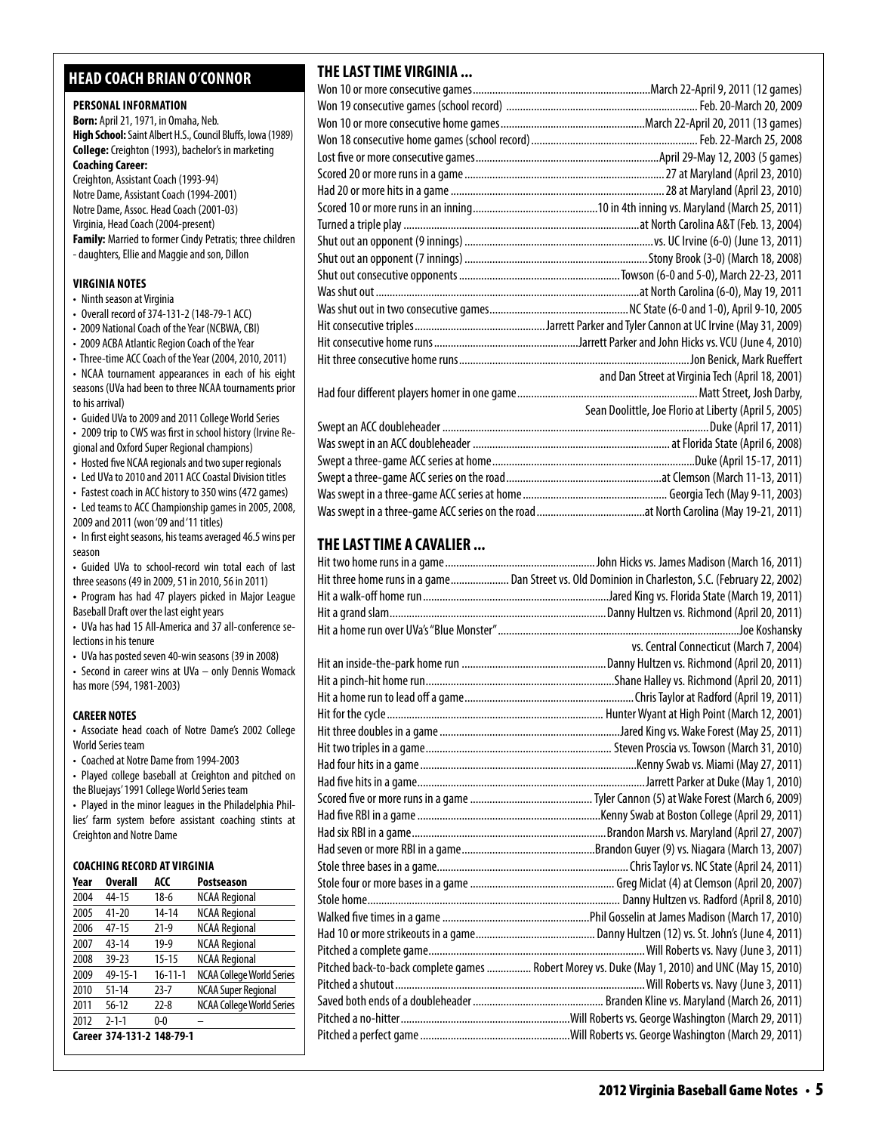# **head coach brian o'connor**

#### **PERSONAL INFORMATION**

**Born:** April 21, 1971, in Omaha, Neb. **High School:** Saint Albert H.S., Council Bluffs, Iowa (1989) **College:** Creighton (1993), bachelor's in marketing **Coaching Career:**  Creighton, Assistant Coach (1993-94) Notre Dame, Assistant Coach (1994-2001)

Notre Dame, Assoc. Head Coach (2001-03) Virginia, Head Coach (2004-present) **Family:** Married to former Cindy Petratis; three children - daughters, Ellie and Maggie and son, Dillon

#### **virginia Notes**

- Ninth season at Virginia
- Overall record of 374-131-2 (148-79-1 ACC)
- 2009 National Coach of the Year (NCBWA, CBI)
- 2009 ACBA Atlantic Region Coach of the Year
- Three-time ACC Coach of the Year (2004, 2010, 2011) • NCAA tournament appearances in each of his eight seasons (UVa had been to three NCAA tournaments prior to his arrival)
- Guided UVa to 2009 and 2011 College World Series
- 2009 trip to CWS was first in school history (Irvine Regional and Oxford Super Regional champions)
- Hosted five NCAA regionals and two super regionals
- Led UVa to 2010 and 2011 ACC Coastal Division titles
- Fastest coach in ACC history to 350 wins (472 games)
- Led teams to ACC Championship games in 2005, 2008, 2009 and 2011 (won '09 and '11 titles)
- In first eight seasons, his teams averaged 46.5 wins per season
- Guided UVa to school-record win total each of last three seasons (49 in 2009, 51 in 2010, 56 in 2011)
- **•**  Program has had 47 players picked in Major League Baseball Draft over the last eight years
- UVa has had 15 All-America and 37 all-conference selections in his tenure
- UVa has posted seven 40-win seasons (39 in 2008)
- Second in career wins at UVa only Dennis Womack has more (594, 1981-2003)

#### **CAREER NOTES**

- Associate head coach of Notre Dame's 2002 College World Series team
- Coached at Notre Dame from 1994-2003
- Played college baseball at Creighton and pitched on the Bluejays' 1991 College World Series team
- Played in the minor leagues in the Philadelphia Phillies' farm system before assistant coaching stints at Creighton and Notre Dame

#### **Coaching Record at virginia**

| Year | <b>Overall</b>            | ACC           | <b>Postseason</b>                |
|------|---------------------------|---------------|----------------------------------|
| 2004 | 44-15                     | $18-6$        | <b>NCAA Regional</b>             |
| 2005 | $41 - 20$                 | $14 - 14$     | <b>NCAA Regional</b>             |
| 2006 | $47-15$                   | $21-9$        | <b>NCAA Regional</b>             |
| 2007 | $43 - 14$                 | $19-9$        | <b>NCAA Regional</b>             |
| 2008 | $39 - 23$                 | $15 - 15$     | <b>NCAA Regional</b>             |
| 2009 | $49 - 15 - 1$             | $16 - 11 - 1$ | <b>NCAA College World Series</b> |
| 2010 | $51 - 14$                 | $23 - 7$      | <b>NCAA Super Regional</b>       |
| 2011 | $56 - 12$                 | $22 - 8$      | NCAA College World Series        |
| 2012 | $2 - 1 - 1$               | $0 - 0$       |                                  |
|      | Career 374-131-2 148-79-1 |               |                                  |

# **THE LAST TIME VIRGINIA ...**

| and Dan Street at Virginia Tech (April 18, 2001)      |
|-------------------------------------------------------|
|                                                       |
| Sean Doolittle, Joe Florio at Liberty (April 5, 2005) |
|                                                       |
|                                                       |
|                                                       |
|                                                       |
|                                                       |
|                                                       |

# **THE LAST TIME A CAVALIER ...**

| Hit three home runs in a game Dan Street vs. Old Dominion in Charleston, S.C. (February 22, 2002) |
|---------------------------------------------------------------------------------------------------|
|                                                                                                   |
|                                                                                                   |
|                                                                                                   |
| vs. Central Connecticut (March 7, 2004)                                                           |
|                                                                                                   |
|                                                                                                   |
|                                                                                                   |
|                                                                                                   |
|                                                                                                   |
|                                                                                                   |
|                                                                                                   |
|                                                                                                   |
|                                                                                                   |
|                                                                                                   |
|                                                                                                   |
|                                                                                                   |
|                                                                                                   |
|                                                                                                   |
|                                                                                                   |
|                                                                                                   |
|                                                                                                   |
|                                                                                                   |
| Pitched back-to-back complete games  Robert Morey vs. Duke (May 1, 2010) and UNC (May 15, 2010)   |
|                                                                                                   |
|                                                                                                   |
|                                                                                                   |
|                                                                                                   |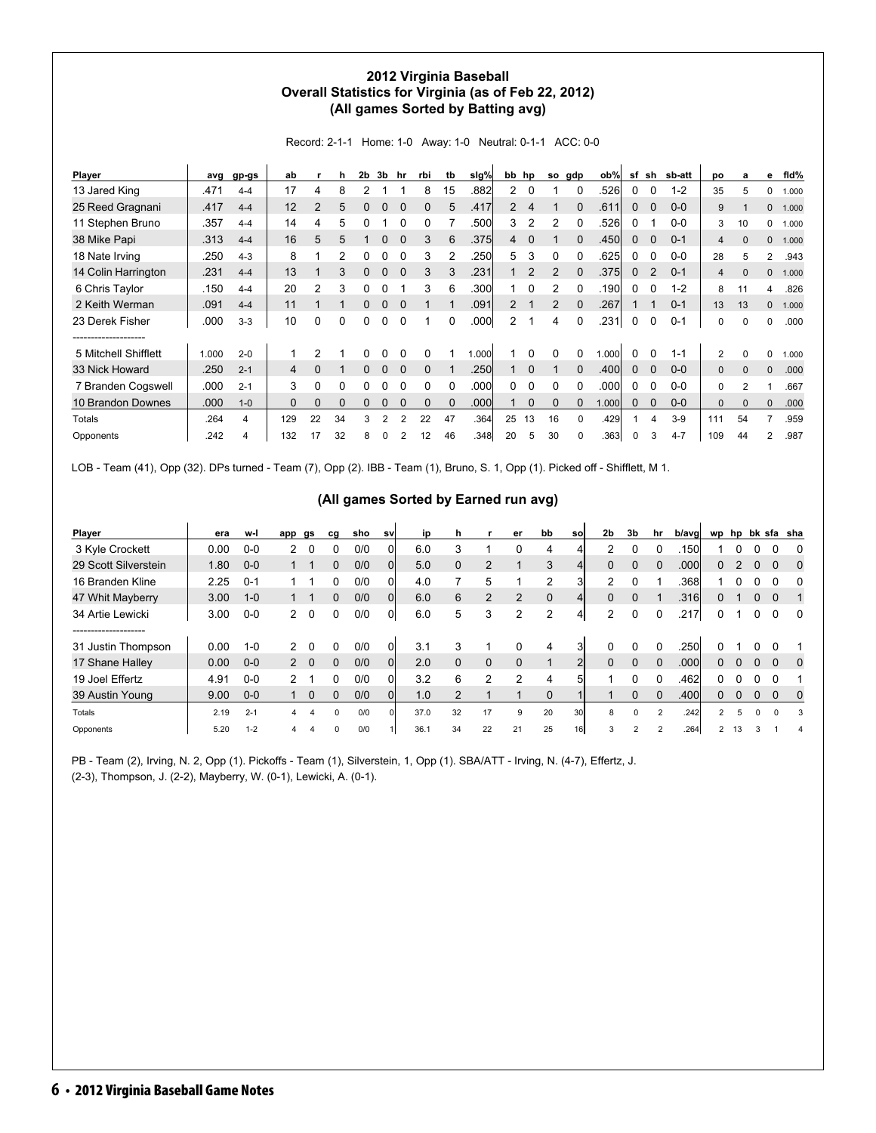#### **2012 Virginia Baseball Overall Statistics for Virginia (as of Feb 22, 2012) (All games Sorted by Batting avg)**

Record: 2-1-1 Home: 1-0 Away: 1-0 Neutral: 0-1-1 ACC: 0-0

| Player               | avg   | gp-gs   | ab           |                | h        | 2 <sub>b</sub> | 3b | hr       | rbi          | tb       | slg%  | bb             | hp       | <b>SO</b>      | gdp      | ob%   | sf           | sh          | sb-att  | DO             | a              | е              | fid%  |
|----------------------|-------|---------|--------------|----------------|----------|----------------|----|----------|--------------|----------|-------|----------------|----------|----------------|----------|-------|--------------|-------------|---------|----------------|----------------|----------------|-------|
| 13 Jared King        | .471  | $4 - 4$ | 17           | 4              | 8        |                |    |          | 8            | 15       | .882  | $\mathbf{2}$   | 0        |                |          | .526  | 0            | 0           | $1 - 2$ | 35             | 5              | 0              | 1.000 |
| 25 Reed Gragnani     | .417  | $4 - 4$ | 12           | $\overline{2}$ | 5        | 0              | 0  | $\Omega$ | 0            | 5        | .417  | $\overline{2}$ | 4        |                | $\Omega$ | .611  | $\mathbf{0}$ | $\mathbf 0$ | $0-0$   | 9              |                | 0              | 1.000 |
| 11 Stephen Bruno     | .357  | $4 - 4$ | 14           | 4              | 5        |                |    |          |              |          | .500  | 3              | 2        | 2              | $\Omega$ | .526  | 0            |             | $0 - 0$ | 3              | 10             | 0              | 1.000 |
| 38 Mike Papi         | .313  | $4 - 4$ | 16           | 5              | 5        |                | 0  |          | 3            | 6        | .375  | 4              | $\Omega$ |                |          | .450  | 0            | $\Omega$    | $0 - 1$ | 4              | $\Omega$       | 0              | 1.000 |
| 18 Nate Irving       | .250  | $4 - 3$ | 8            |                | 2        |                |    |          | 3            |          | .250  | 5              | 3        | 0              |          | .625  | $\Omega$     | 0           | $0-0$   | 28             | 5              | $\overline{2}$ | .943  |
| 14 Colin Harrington  | .231  | $4 - 4$ | 13           |                | 3        |                | 0  |          | 3            | 3        | .231  |                | 2        | $\mathcal{P}$  | $\Omega$ | .375  | $\mathbf{0}$ | 2           | $0 - 1$ | 4              | $\Omega$       | 0              | 1.000 |
| 6 Chris Taylor       | .150  | $4 - 4$ | 20           | 2              | 3        | 0              |    |          | 3            | 6        | .300  |                | $\Omega$ | 2              |          | .190  | 0            | 0           | $1 - 2$ | 8              | 11             | 4              | .826  |
| 2 Keith Werman       | .091  | $4 - 4$ | 11           |                |          | 0              | 0  | $\Omega$ |              |          | .091  | $\overline{2}$ |          | $\overline{2}$ | $\Omega$ | .267  |              |             | $0 - 1$ | 13             | 13             | 0              | 1.000 |
| 23 Derek Fisher<br>. | .000  | $3-3$   | 10           | $\Omega$       | 0        | 0              | 0  | $\Omega$ |              | $\Omega$ | .000  | $\overline{2}$ | 1        | 4              | $\Omega$ | .231  | $\Omega$     | 0           | $0 - 1$ | 0              | $\Omega$       | 0              | .000  |
| 5 Mitchell Shifflett | 1.000 | $2 - 0$ |              | 2              |          |                |    |          | <sup>0</sup> |          | 1.000 |                |          |                | $\Omega$ | 1.000 | $\Omega$     | 0           | $1 - 1$ | $\overline{2}$ | $\Omega$       | 0              | 1.000 |
| 33 Nick Howard       | .250  | $2 - 1$ | 4            | $\Omega$       |          | $\Omega$       | 0  | $\Omega$ | $\Omega$     |          | .250  |                | $\Omega$ |                | $\Omega$ | .400  | $\mathbf{0}$ | $\Omega$    | $0 - 0$ | $\mathbf{0}$   | $\Omega$       | $\Omega$       | .000  |
| 7 Branden Cogswell   | .000  | $2 - 1$ | 3            | 0              | 0        |                |    |          | 0            | $\Omega$ | .000  | 0              | 0        | <sup>0</sup>   |          | .000  | 0            | 0           | $0-0$   | 0              | $\overline{2}$ |                | .667  |
| 10 Brandon Downes    | .000  | $1 - 0$ | $\mathbf{0}$ | 0              | $\Omega$ |                |    |          | 0            |          | .000  |                | $\Omega$ | $\Omega$       | $\Omega$ | 1.000 | $\Omega$     | 0           | $0-0$   | 0              | $\Omega$       | 0              | .000  |
| Totals               | .264  | 4       | 129          | 22             | 34       | 3              | 2  | 2        | 22           | 47       | .364  | 25             | 13       | 16             | $\Omega$ | .429  |              | 4           | $3-9$   | 111            | 54             | 7              | .959  |
| Opponents            | .242  | 4       | 132          | 17             | 32       | 8              | O  |          | 12           | 46       | .348  | 20             | 5        | 30             | $\Omega$ | .363  | $\Omega$     | 3           | $4 - 7$ | 109            | 44             | $\overline{c}$ | .987  |

LOB - Team (41), Opp (32). DPs turned - Team (7), Opp (2). IBB - Team (1), Bruno, S. 1, Opp (1). Picked off - Shifflett, M 1.

#### **(All games Sorted by Earned run avg)**

| Player               | era  | w-l     | app           | gs         | cg       | sho | sv       | ip   | n        |                | er             | bb       | sol             | 2 <sub>b</sub> | 3 <sub>b</sub> | hr       | b/avg |                |          |          |          | wp hp bk sfa sha |
|----------------------|------|---------|---------------|------------|----------|-----|----------|------|----------|----------------|----------------|----------|-----------------|----------------|----------------|----------|-------|----------------|----------|----------|----------|------------------|
| 3 Kyle Crockett      | 0.00 | $0-0$   | 2             |            | 0        | 0/0 |          | 6.0  |          |                |                | 4        |                 | 2              |                |          | .150l |                |          |          |          |                  |
| 29 Scott Silverstein | 1.80 | $0 - 0$ |               |            | 0        | 0/0 | Οl       | 5.0  |          | $\overline{2}$ |                | 3        |                 | $\Omega$       |                |          | .000l | 0              |          | $\Omega$ |          | 0                |
| 16 Branden Kline     | 2.25 | $0 - 1$ |               |            | 0        | 0/0 | ΩI       | 4.0  |          | 5              |                | 2        | 3               | 2              |                |          | .368  |                |          |          |          | 0                |
| 47 Whit Mayberry     | 3.00 | $1 - 0$ |               |            | 0        | 0/0 | $\Omega$ | 6.0  | 6        | 2              | $\overline{2}$ | $\Omega$ | $\frac{4}{ }$   | $\Omega$       | $\Omega$       |          | .316  | 0              |          | $\Omega$ | 0        |                  |
| 34 Artie Lewicki     | 3.00 | $0-0$   | 2             | $\Omega$   | 0        | 0/0 | 01       | 6.0  | 5        | 3              | 2              | 2        | 41              | $\mathcal{P}$  | $\Omega$       |          | .217  | 0              |          |          |          | - 0              |
| -----------------    |      |         |               |            |          |     |          |      |          |                |                |          |                 |                |                |          |       |                |          |          |          |                  |
| 31 Justin Thompson   | 0.00 | $1 - 0$ | $\mathcal{P}$ | 0          | 0        | 0/0 | 01       | 3.1  |          |                | 0              | 4        | 3               | $\Omega$       | $\Omega$       | 0        | 250   |                |          |          |          |                  |
| 17 Shane Halley      | 0.00 | $0 - 0$ |               | $2\quad 0$ | 0        | 0/0 | $\Omega$ | 2.0  | $\Omega$ | $\mathbf 0$    | $\Omega$       |          | $\overline{2}$  | $\Omega$       | $\Omega$       | $\Omega$ | .000l | 0              | $\Omega$ | 0        | 0        | 0                |
| 19 Joel Effertz      | 4.91 | $0-0$   | 2             |            | 0        | 0/0 | Οl       | 3.2  | 6        | 2              | 2              | 4        | 5               |                |                |          | .462  |                |          |          |          |                  |
| 39 Austin Young      | 9.00 | $0-0$   |               | 0          | 0        | 0/0 | Οl       | 1.0  |          |                |                | 0        |                 |                | $\Omega$       |          | .400  | 0              | $\Omega$ | $\Omega$ |          | 0                |
| Totals               | 2.19 | $2 - 1$ | 4             |            | $\Omega$ | 0/0 |          | 37.0 | 32       | 17             | 9              | 20       | 30l             |                |                |          | .242  | 2              | 5.       | $\Omega$ | $\Omega$ | 3                |
| Opponents            | 5.20 | $1 - 2$ | 4             |            | $\Omega$ | 0/0 |          | 36.1 | 34       | 22             | 21             | 25       | 16 <sup>1</sup> |                |                |          | .264  | $\overline{2}$ | 13       |          |          |                  |

PB - Team (2), Irving, N. 2, Opp (1). Pickoffs - Team (1), Silverstein, 1, Opp (1). SBA/ATT - Irving, N. (4-7), Effertz, J. (2-3), Thompson, J. (2-2), Mayberry, W. (0-1), Lewicki, A. (0-1).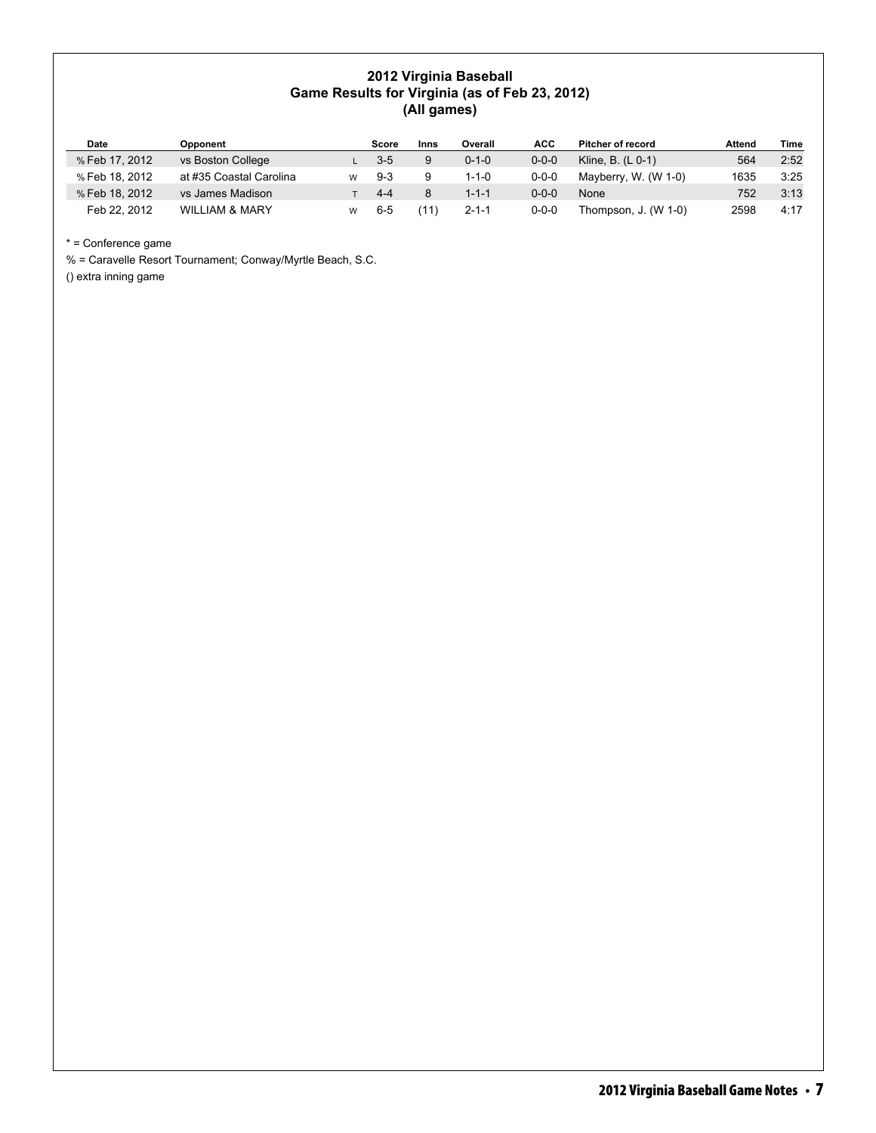#### **2012 Virginia Baseball Game Results for Virginia (as of Feb 23, 2012) (All games)**

| Date           | Opponent                  | Score   | Inns | Overall     | <b>ACC</b>  | <b>Pitcher of record</b> | Attend | Time |
|----------------|---------------------------|---------|------|-------------|-------------|--------------------------|--------|------|
| % Feb 17, 2012 | vs Boston College         | $3-5$   |      | $0 - 1 - 0$ | $0 - 0 - 0$ | Kline, B. $(L 0-1)$      | 564    | 2:52 |
| % Feb 18, 2012 | at #35 Coastal Carolina   | $9-3$   |      | $1 - 1 - 0$ | $0 - 0 - 0$ | Mayberry, W. (W 1-0)     | 1635   | 3:25 |
| % Feb 18, 2012 | vs James Madison          | $4 - 4$ |      | $1 - 1 - 1$ | $0 - 0 - 0$ | None                     | 752    | 3:13 |
| Feb 22, 2012   | <b>WILLIAM &amp; MARY</b> | $6 - 5$ |      | $2 - 1 - 1$ | $0 - 0 - 0$ | Thompson, J. (W 1-0)     | 2598   | 4:17 |

\* = Conference game

% = Caravelle Resort Tournament; Conway/Myrtle Beach, S.C.

() extra inning game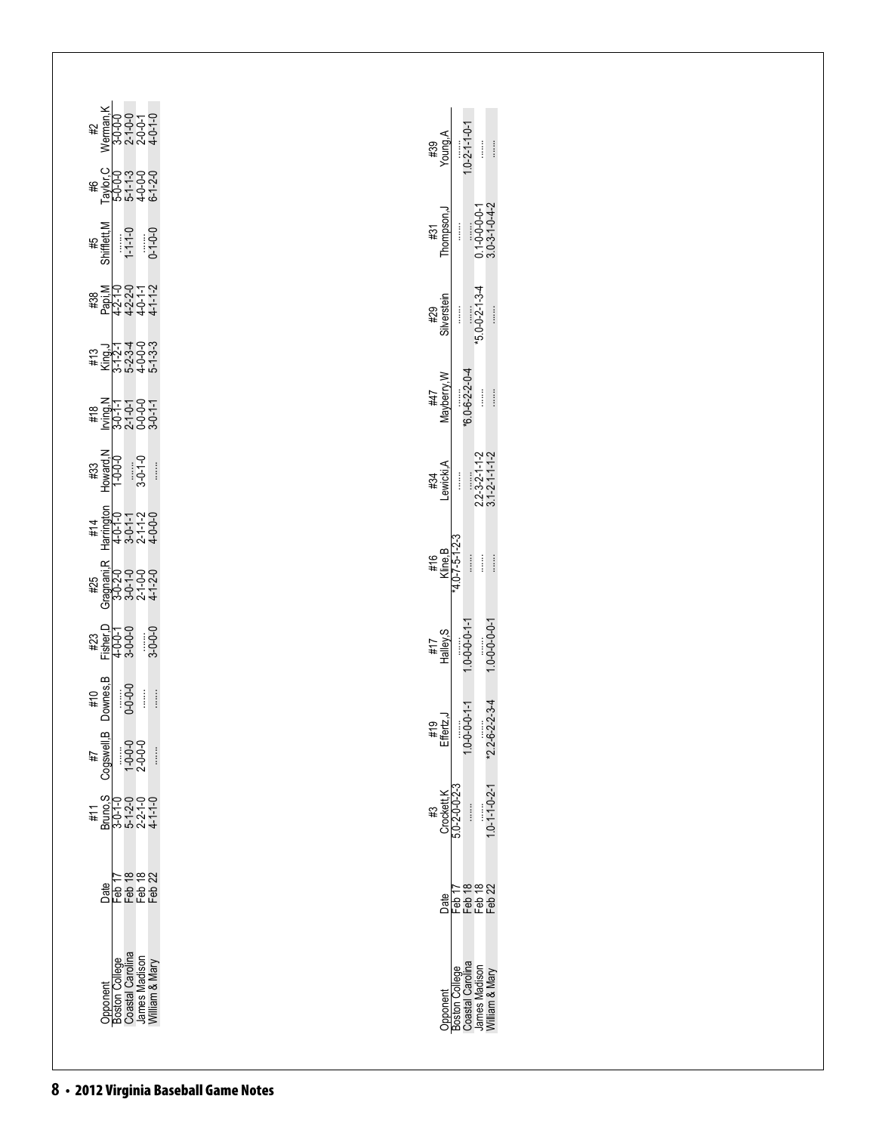| Werman, K<br>3-0-0-0<br>2-1-0-0<br>2-0-0-1<br>4-0-1-0<br>4-0-1-0<br>#                                          | $1.0 - 2 - 1 - 1 - 0 - 1$<br>A,guno Y<br>Young,A<br>ĺ                                                                                                             |  |
|----------------------------------------------------------------------------------------------------------------|-------------------------------------------------------------------------------------------------------------------------------------------------------------------|--|
| <i>C_0</i><br>  000 T - 000<br>  000 T - 000<br>  000 T - 000<br>  000 T - 000<br>\$#                          |                                                                                                                                                                   |  |
| Shifflett, M<br>$0 - 1 - 0 - 0$<br>$1 - 1 - 0$<br>#5                                                           | $0.1 - 0 - 0 - 0 - 1$<br>$3.0 - 3 - 1 - 0 - 4 - 2$<br>Thompson, J<br>Ĭ<br>#31                                                                                     |  |
| )<br>Pap:1-0<br>Pap:1-1-1-2<br><del>Pap:1-1-1-1</del> -4<br><del>4 4 4 4 4</del><br>#38                        | $*5.0 - 0 - 2 - 1 - 3 - 4$<br>Silverstein<br>Î<br>$\vdots$<br>#29                                                                                                 |  |
| <b>NANGAN</b><br>EXPOS<br>EXPOS<br>NANGAN<br>#13                                                               |                                                                                                                                                                   |  |
| #18                                                                                                            | $*6.0 - 2 - 2 - 0.4$<br>Mayberry, W<br>$\begin{array}{c} \vdots \\ \vdots \\ \vdots \end{array}$<br>ĺ<br>#47                                                      |  |
| Howard, N<br>1-0-0-0<br>$3 - 0 - 1 - 0$<br>$\begin{array}{c} \vdots \\ \vdots \\ \vdots \end{array}$<br>#33    | $2.2 - 3 - 2 - 1 - 1 - 2$<br>3.1-2-1-1-1-2<br>Lewicki, A<br>ł<br>#34                                                                                              |  |
| Harrington<br>4-0-1-0<br>3-0-1-1<br>2-1-1-2<br>4-0-0-0<br>#14                                                  |                                                                                                                                                                   |  |
| Gragmani, R<br>3-0-2-0<br>3-0-1-0<br>2-1-0-0<br>4-1-2-0<br>#25                                                 | Kline, B<br>- 4.0-7-5-1-2-3<br>$\begin{array}{c} \vdots \\ \vdots \\ \vdots \end{array}$<br>ļ<br>$\begin{array}{c} \vdots \\ \vdots \\ \vdots \end{array}$<br>#16 |  |
| Fisher, D<br>4-0-0-1<br>3-0-0-0<br>$3 - 0 - 0 - 0$<br>#23                                                      | $1.0 - 0 - 0 - 0 - 1$<br>$1.0 - 0 - 0 - 1 - 1$<br>Halley, S<br>#17                                                                                                |  |
| Downes, B<br>$0 - 0 - 0 - 0$<br>Í<br>#10                                                                       | $*2.2 - 6 - 2 - 3 - 4$<br>$1.0 - 0 - 0 - 1 - 1$<br>#19<br>Effertz,J                                                                                               |  |
| Cogswell, B<br>$1 - 0 - 0 - 0$<br>2-0-0-0<br>$\begin{array}{c}\n\vdots \\ \vdots \\ \vdots\n\end{array}$<br>4# |                                                                                                                                                                   |  |
| #11                                                                                                            | $1.0 - 1 - 1 - 0 - 2 - 1$<br>$5.0 - 2 - 0 - 2 - 3$<br>Crockett, K<br>$\vdots$<br>#3                                                                               |  |
| a<br><b>PERER</b><br>PERER                                                                                     | Feb 17<br>Feb 18<br>Feb 22<br>Feb 22<br>Date                                                                                                                      |  |
|                                                                                                                |                                                                                                                                                                   |  |
| Opponent<br>Boston College<br>Coastal Carolina<br>James Madison<br>William & Mary                              | Opponent<br>Boston College<br>Coastal Carolina<br>James Madison<br>William & Mary                                                                                 |  |
|                                                                                                                |                                                                                                                                                                   |  |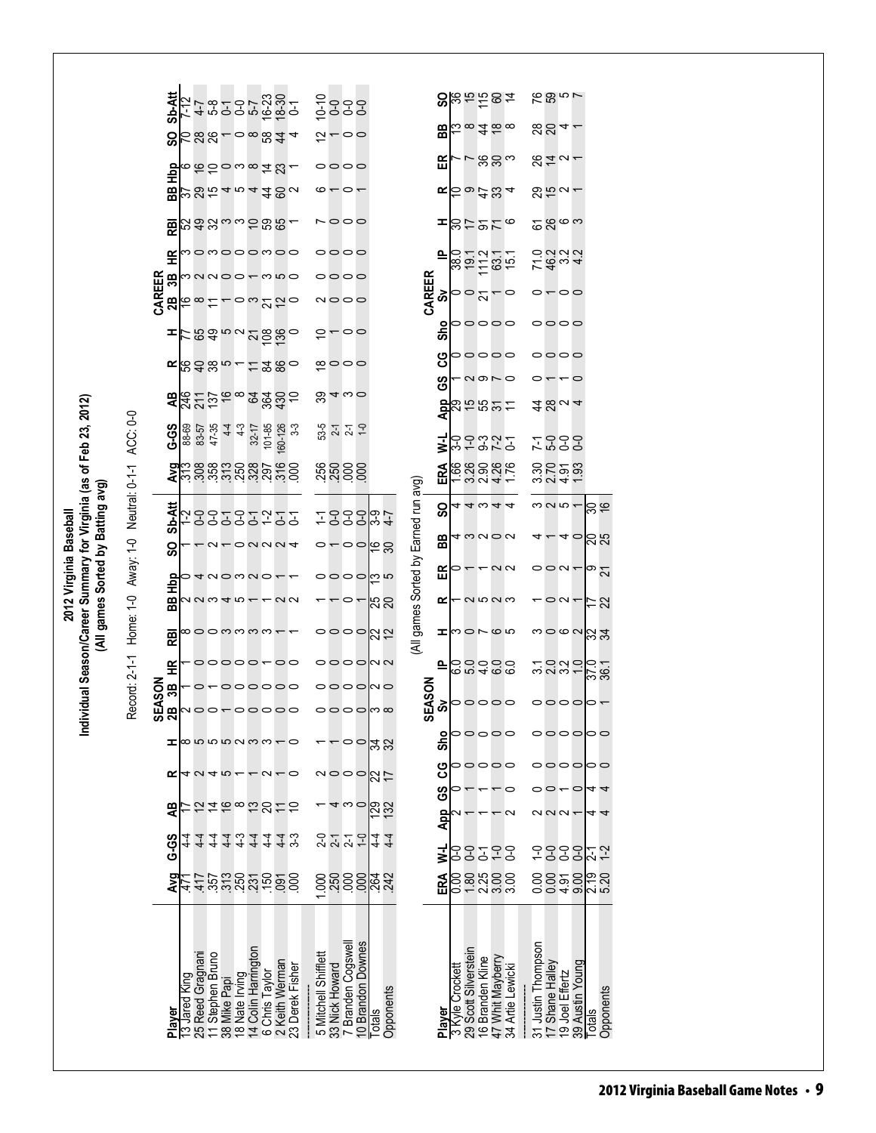|                                                                                                                              |                                      | <b>Sb-Att</b>      | 7-12         | $4 - 7$         | $5-8$            |                       | 595<br>795     |                     | $16-23$<br>$0-1$                                                                                                                                                                                                                                                                        |                |                 |                      |                | ូ<br>ទី១១១<br>ត្នា      |                   |               |           |                                      |            |                 |                      | $S$ $\approx$ $S$ $\approx$ $S$ $\approx$                             |                  |                                |                    | na ga                                       |                 |                 |                                             |           |  |
|------------------------------------------------------------------------------------------------------------------------------|--------------------------------------|--------------------|--------------|-----------------|------------------|-----------------------|----------------|---------------------|-----------------------------------------------------------------------------------------------------------------------------------------------------------------------------------------------------------------------------------------------------------------------------------------|----------------|-----------------|----------------------|----------------|-------------------------|-------------------|---------------|-----------|--------------------------------------|------------|-----------------|----------------------|-----------------------------------------------------------------------|------------------|--------------------------------|--------------------|---------------------------------------------|-----------------|-----------------|---------------------------------------------|-----------|--|
|                                                                                                                              |                                      | င္တ                |              |                 |                  |                       |                |                     | <b>288-08844</b>                                                                                                                                                                                                                                                                        |                |                 |                      |                | $\approx$ $ \circ$      |                   |               |           |                                      |            |                 |                      | $B\vert_{\mathbb{C}} \, \infty$ $\exists \, \infty$                   |                  |                                |                    |                                             |                 |                 |                                             |           |  |
|                                                                                                                              |                                      | 윤                  |              |                 |                  |                       |                |                     | <b>しかかっこのはぴょ</b>                                                                                                                                                                                                                                                                        |                |                 |                      |                | 0000                    |                   |               |           |                                      | 띥          |                 |                      | ∽⊢ ສ ສ ∾                                                              |                  |                                |                    | $872 -$                                     |                 |                 |                                             |           |  |
|                                                                                                                              |                                      | 88                 |              |                 |                  |                       |                |                     |                                                                                                                                                                                                                                                                                         |                |                 |                      |                | $\circ$ $\sim$ $\sim$   |                   |               |           |                                      |            |                 |                      | $\propto$ $\approx$ $\approx$ $\approx$ $\approx$ $\approx$ $\approx$ |                  |                                |                    | <u> ಇಲ್ಲ -</u>                              |                 |                 |                                             |           |  |
|                                                                                                                              |                                      | <b>RBI</b>         |              |                 |                  |                       |                |                     | 543。2085                                                                                                                                                                                                                                                                                |                |                 |                      |                | $\circ \circ \circ$     |                   |               |           |                                      | ᆍ          |                 |                      | 이거 아이 있                                                               |                  |                                |                    | ದಿನಿ ಇ                                      |                 |                 |                                             |           |  |
|                                                                                                                              |                                      | £                  |              |                 |                  |                       |                |                     | momooomoo                                                                                                                                                                                                                                                                               |                |                 |                      |                | 0000                    |                   |               |           |                                      | 으          |                 |                      | 801211<br>801201                                                      |                  |                                |                    | 74<br>00011<br>00111                        |                 |                 |                                             |           |  |
|                                                                                                                              |                                      | CAREER<br>38       |              |                 |                  |                       |                |                     | manoo-mno                                                                                                                                                                                                                                                                               |                |                 |                      |                | 0000                    |                   |               |           | CAREER<br>ຈັ                         |            | $\frac{1}{2}$   |                      |                                                                       |                  |                                |                    | $\overline{C}$                              |                 |                 |                                             |           |  |
|                                                                                                                              |                                      | 28                 |              | ∞               |                  |                       |                |                     | ಂಬಲ್ಲೆ                                                                                                                                                                                                                                                                                  |                |                 |                      |                | ∾೦೦೦                    |                   |               |           |                                      |            |                 |                      |                                                                       |                  |                                |                    |                                             |                 |                 |                                             |           |  |
|                                                                                                                              |                                      | ᆂ                  |              |                 |                  |                       |                |                     | ៹៹៰៝៵៓៰៹៹៹                                                                                                                                                                                                                                                                              |                |                 |                      |                | <u>0000</u>             |                   |               |           |                                      | Sho        |                 |                      | 00000                                                                 |                  |                                |                    | 0000                                        |                 |                 |                                             |           |  |
|                                                                                                                              |                                      |                    |              |                 |                  |                       |                |                     | KBQ85-15880                                                                                                                                                                                                                                                                             |                |                 |                      |                | ∞⇔⇔                     |                   |               |           |                                      | ပ္ပ        |                 |                      | <b>POOOC</b>                                                          |                  |                                |                    | 0000                                        |                 |                 |                                             |           |  |
|                                                                                                                              |                                      |                    |              |                 |                  |                       |                |                     | $22225$ $253325$                                                                                                                                                                                                                                                                        |                |                 |                      |                | ೫ 4 ∾ 0                 |                   |               |           |                                      | ဖိ         |                 |                      | <b>and</b>                                                            |                  |                                |                    |                                             |                 | o               |                                             |           |  |
|                                                                                                                              |                                      |                    |              |                 |                  |                       |                |                     |                                                                                                                                                                                                                                                                                         |                | $3-3$           |                      |                |                         | $\overline{0}$    |               |           |                                      |            |                 |                      | <mark>명</mark> 25 12 12 12<br><mark>명</mark> 25 12 12 12              |                  |                                |                    | 4804                                        |                 |                 |                                             |           |  |
|                                                                                                                              |                                      | G-S                | 88-69        | 83-57           | 47-35            | $4-4$                 | $4-3$          | $32 - 17$           | 101-85                                                                                                                                                                                                                                                                                  | 60-126         |                 | 53-5                 |                | $2 - 7$                 |                   |               |           |                                      | Ξ          | ვ.ე             |                      | こうどこ                                                                  |                  |                                |                    | 7.899<br>7.899                              |                 |                 |                                             |           |  |
|                                                                                                                              |                                      |                    |              |                 |                  |                       |                |                     | $\frac{1}{2}$ $\frac{1}{2}$ $\frac{1}{2}$ $\frac{1}{2}$ $\frac{1}{2}$ $\frac{1}{2}$ $\frac{1}{2}$ $\frac{1}{2}$ $\frac{1}{2}$ $\frac{1}{2}$ $\frac{1}{2}$ $\frac{1}{2}$ $\frac{1}{2}$ $\frac{1}{2}$ $\frac{1}{2}$ $\frac{1}{2}$ $\frac{1}{2}$ $\frac{1}{2}$ $\frac{1}{2}$ $\frac{1}{2}$ |                |                 |                      |                | <b>ន្លួន</b> ខ្លួន      |                   |               |           |                                      | ERA        |                 |                      | <u><br/>២</u><br>ក្តុង១៩<br>ក្តុង ១                                   |                  |                                |                    | 32222                                       |                 |                 |                                             |           |  |
| idual Season/Career Summary for Virginia (as of Feb 23, 2012)<br>(All games Sorted by Batting avg)<br>2012 Virginia Baseball | Neutral: 0-1-1 ACC: 0-0<br>Away: 1-0 | <b>b-Att</b>       |              |                 |                  |                       |                |                     | 29999225                                                                                                                                                                                                                                                                                |                |                 |                      |                |                         |                   |               |           |                                      | င္တ        |                 |                      | 44344                                                                 |                  |                                |                    | $\sim$ $\sim$ $\sim$                        |                 |                 | ခ္က                                         |           |  |
|                                                                                                                              |                                      | ັທ<br>င္တ          |              |                 | $\sim$           |                       |                |                     | $-0$ NNN4                                                                                                                                                                                                                                                                               |                |                 |                      |                | $\circ$ – – – – မြ      |                   |               |           |                                      | 88         |                 |                      | 4mm0m                                                                 |                  |                                |                    |                                             | 40              |                 | ನಿ ನ                                        |           |  |
|                                                                                                                              |                                      |                    |              |                 |                  |                       |                |                     | $\rightarrow$                                                                                                                                                                                                                                                                           |                |                 |                      |                | oooomn                  |                   |               |           |                                      | 띥          |                 |                      | $\circ$ – $\circ$ $\circ$                                             |                  |                                |                    | $\circ$ $\circ$ $\sim$ $\sim$ $\sim$ $\sim$ |                 |                 |                                             |           |  |
|                                                                                                                              |                                      | ФH<br>BB           |              |                 |                  |                       |                |                     | $0.0040 - 0.00$                                                                                                                                                                                                                                                                         |                |                 |                      |                | $\circ$ $\sim$          |                   | នន            |           |                                      | ≃          |                 |                      | <u>– ດ ro ຕ ພ</u>                                                     |                  |                                |                    |                                             | $\circ$ $\circ$ |                 | にの                                          |           |  |
|                                                                                                                              | Home: 1-0                            | 恩                  |              |                 |                  |                       |                |                     | ∞00mmmm+                                                                                                                                                                                                                                                                                |                |                 |                      |                | ಂಂಂಗ್ಗಿರ                |                   |               |           | (All games Sorted by Earned run avg) | ᆂ          |                 |                      | <b>DONG</b>                                                           |                  |                                |                    | <b>°°</b> ० ० ० ७ ४ ५                       |                 |                 |                                             |           |  |
|                                                                                                                              |                                      | £                  |              |                 |                  |                       |                |                     | 00000-00                                                                                                                                                                                                                                                                                |                |                 |                      |                | 0000MN                  |                   |               |           |                                      | ≙          |                 |                      | cadac<br>Cadaca                                                       |                  |                                |                    | 3232-                                       |                 |                 | $\frac{37.0}{36.1}$                         |           |  |
|                                                                                                                              | Record: 2-1-1                        |                    |              | o               |                  |                       |                |                     | 000000                                                                                                                                                                                                                                                                                  |                |                 |                      |                | oooopo                  |                   |               |           |                                      |            |                 |                      |                                                                       |                  |                                |                    |                                             |                 |                 |                                             |           |  |
| Indivi                                                                                                                       |                                      | SEASON<br>2B<br>3B |              |                 |                  |                       |                |                     |                                                                                                                                                                                                                                                                                         |                |                 |                      |                | ⌒                       | ⌒                 |               |           | SEASON                               | <u>જે</u>  |                 |                      | 00000                                                                 |                  |                                |                    | 0000                                        |                 |                 | $\overline{\circ}$ $\overline{\phantom{0}}$ |           |  |
|                                                                                                                              |                                      | ᆂ                  |              |                 |                  |                       |                |                     | 8 5 5 6 7 6 7 6 7 6 7 6 8                                                                                                                                                                                                                                                               |                |                 |                      |                | $\overline{C}$          |                   | 22            |           |                                      | Sho        |                 |                      | ,,,,,                                                                 |                  |                                |                    | 0000                                        |                 |                 | 00                                          |           |  |
|                                                                                                                              |                                      | ≃                  |              |                 |                  | 4 U 4 IO <del>1</del> |                |                     | $\sim -0$                                                                                                                                                                                                                                                                               |                |                 |                      |                | 200000                  |                   |               |           |                                      | ပ္ပ        |                 |                      | <b>POOOC</b>                                                          |                  |                                |                    | 000000                                      |                 |                 |                                             |           |  |
|                                                                                                                              |                                      |                    |              |                 | 호                |                       |                |                     | <b>19825</b>                                                                                                                                                                                                                                                                            |                | $\tilde{=}$     |                      |                | ヰwo                     |                   |               |           |                                      | <u>င</u> ် |                 |                      |                                                                       |                  | c                              |                    | - 0                                         |                 | c               | 44                                          |           |  |
|                                                                                                                              |                                      | æ                  |              |                 |                  |                       |                |                     |                                                                                                                                                                                                                                                                                         |                |                 |                      |                |                         |                   | 732           |           |                                      | App        |                 |                      |                                                                       |                  | $\sim$                         |                    | $\sim$ $\sim$ $\sim$                        |                 |                 | 4                                           | 4         |  |
|                                                                                                                              |                                      | G-0S               | $\vec{A}$    |                 |                  |                       |                |                     | 44444449<br>4444449                                                                                                                                                                                                                                                                     |                |                 |                      |                | 2219                    |                   | $4-4$         | $4-4$     |                                      | ₹          |                 |                      | 97799                                                                 |                  |                                |                    | 우웅웅웅                                        |                 |                 | $\frac{7}{1}$ <sup>2</sup>                  |           |  |
|                                                                                                                              |                                      | হু                 |              | 417             |                  |                       |                |                     |                                                                                                                                                                                                                                                                                         |                |                 | 000                  |                | <u>ដូទ្ធទន្ត្រី អ្ន</u> |                   |               |           |                                      | ERA        | 0.00            |                      | 28888                                                                 |                  |                                |                    | $\frac{884}{000}$                           |                 | 9.00            | $\frac{19}{5.20}$                           |           |  |
|                                                                                                                              |                                      |                    |              |                 |                  |                       |                |                     |                                                                                                                                                                                                                                                                                         |                |                 |                      |                |                         |                   |               |           |                                      |            |                 |                      |                                                                       |                  |                                |                    |                                             |                 |                 |                                             |           |  |
|                                                                                                                              |                                      | Player             | 3 Jared King | 25 Reed Gragnan | 11 Stephen Bruno | 38 Mike Papi          | 18 Nate Irving | 14 Colin Harrington | 6 Chris Taylor                                                                                                                                                                                                                                                                          | 2 Keith Werman | 23 Derek Fisher | 5 Mitchell Shifflett | 33 Nick Howard | 7 Branden Cogswell      | 10 Brandon Downes | <b>Totals</b> | Opponents |                                      | Player     | 3 Kyle Crockett | 29 Scott Silverstein | 16 Branden Kline                                                      | 47 Whit Mayberry | Artie Lewicki<br>$\frac{4}{3}$ | 31 Justin Thompson | 17 Shane Halley                             | 19 Joel Effertz | 39 Austin Young | Totals                                      | Opponents |  |